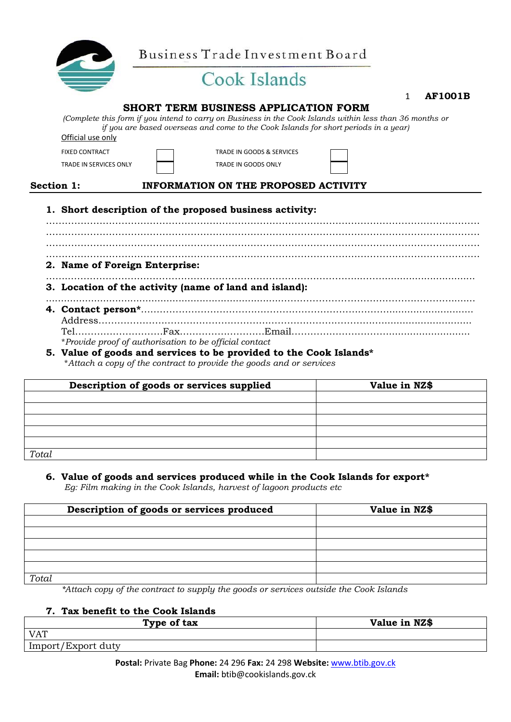

1 **AF1001B**

#### **SHORT TERM BUSINESS APPLICATION FORM**

*(Complete this form if you intend to carry on Business in the Cook Islands within less than 36 months or if you are based overseas and come to the Cook Islands for short periods in a year)* 

Official use only

FIXED CONTRACT TRADE IN GOODS & SERVICES

TRADE IN SERVICES ONLY **TRADE IN GOODS ONLY** 



### Section 1: **INFORMATION ON THE PROPOSED ACTIVITY**

#### **1. Short description of the proposed business activity:**

………………………………………………………………………………………………………………………… ………………………………………………………………………………………………………………………… ………………………………………………………………………………………………………………………… ………………………………………………………………………………………………………………………… **2. Name of Foreign Enterprise:**  ……..………………………………………………………………………………...……............................... **3. Location of the activity (name of land and island):**  ..............................................................................………………………………………………........ **4. Contact person\***……………………………………………………………………............................. Address……………………………………………………………………………….............................. Tel……………………….Fax………………………Email…………………………............................ \**Provide proof of authorisation to be official contact* 

**5. Value of goods and services to be provided to the Cook Islands\***  \**Attach a copy of the contract to provide the goods and or services* 

| Description of goods or services supplied | Value in NZ\$ |
|-------------------------------------------|---------------|
|                                           |               |
|                                           |               |
|                                           |               |
|                                           |               |
|                                           |               |
| Total                                     |               |

# **6. Value of goods and services produced while in the Cook Islands for export\***

*Eg: Film making in the Cook Islands, harvest of lagoon products etc* 

| Description of goods or services produced | Value in NZ\$ |
|-------------------------------------------|---------------|
|                                           |               |
|                                           |               |
|                                           |               |
|                                           |               |
|                                           |               |
| Total                                     |               |

*\*Attach copy of the contract to supply the goods or services outside the Cook Islands* 

### **7. Tax benefit to the Cook Islands**

| Type of tax        | Value in NZ\$ |
|--------------------|---------------|
| <b>VAT</b>         |               |
| Import/Export duty |               |

**Postal:** Private Bag **Phone:** 24 296 **Fax:** 24 298 **Website:** www.btib.gov.ck **Email:** btib@cookislands.gov.ck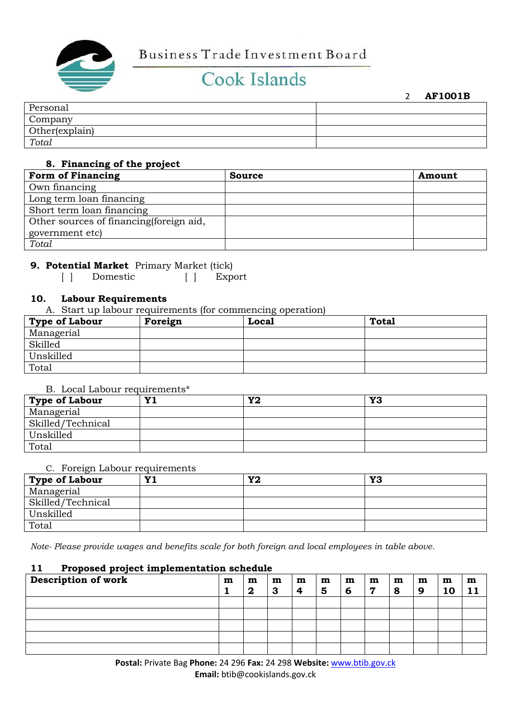

2 **AF1001B**

| Personal       |  |
|----------------|--|
| Company        |  |
| Other(explain) |  |
| Total          |  |

### **8. Financing of the project**

| Form of Financing                        | Source | Amount |
|------------------------------------------|--------|--------|
| Own financing                            |        |        |
| Long term loan financing                 |        |        |
| Short term loan financing                |        |        |
| Other sources of financing (foreign aid, |        |        |
| government etc)                          |        |        |
| Total                                    |        |        |

# **9. Potential Market** Primary Market (tick)

[ ] Domestic [ ] Export

# **10. Labour Requirements**

A. Start up labour requirements (for commencing operation)

| <b>Type of Labour</b> | Foreign | Local | <b>Total</b> |
|-----------------------|---------|-------|--------------|
| Managerial            |         |       |              |
| Skilled               |         |       |              |
| Unskilled             |         |       |              |
| Total                 |         |       |              |

### B. Local Labour requirements\*

| Type of Labour    | <b>Y1</b> | Y2 | Y3 |
|-------------------|-----------|----|----|
| Managerial        |           |    |    |
| Skilled/Technical |           |    |    |
| Unskilled         |           |    |    |
| Total             |           |    |    |

### C. Foreign Labour requirements

| Type of Labour    | <b>Y1</b> | Y2 | Y3 |
|-------------------|-----------|----|----|
| Managerial        |           |    |    |
| Skilled/Technical |           |    |    |
| Unskilled         |           |    |    |
| Total             |           |    |    |

*Note- Please provide wages and benefits scale for both foreign and local employees in table above.* 

### **11 Proposed project implementation schedule**

| Description of work | $\mathbf m$ | m<br>$\mathbf 2$ | m<br>З | m<br>4 | $\mathbf m$<br>5 | $\mathbf m$<br>6 | m<br>▼ | m<br>8 | m<br>9 | m<br>10 | m |
|---------------------|-------------|------------------|--------|--------|------------------|------------------|--------|--------|--------|---------|---|
|                     |             |                  |        |        |                  |                  |        |        |        |         |   |
|                     |             |                  |        |        |                  |                  |        |        |        |         |   |
|                     |             |                  |        |        |                  |                  |        |        |        |         |   |
|                     |             |                  |        |        |                  |                  |        |        |        |         |   |
|                     |             |                  |        |        |                  |                  |        |        |        |         |   |

**Postal:** Private Bag **Phone:** 24 296 **Fax:** 24 298 **Website:** www.btib.gov.ck **Email:** btib@cookislands.gov.ck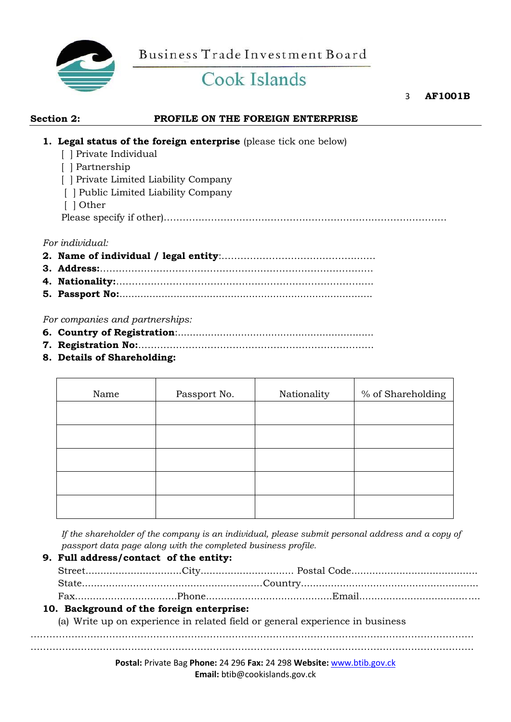

3 **AF1001B**

| <b>Section 2:</b>  | PROFILE ON THE FOREIGN ENTERPRISE                                        |
|--------------------|--------------------------------------------------------------------------|
|                    | <b>1. Legal status of the foreign enterprise</b> (please tick one below) |
| Private Individual |                                                                          |
| Partnership        |                                                                          |
|                    | Private Limited Liability Company                                        |
|                    | [] Public Limited Liability Company                                      |
| Other              |                                                                          |

Please specify if other)………………………………………………………………………………

### *For individual:*

- **2. Name of individual / legal entity**:………………………………………….
- **3. Address:**……………………………………………………………………………
- **4. Nationality:**……………………………………………………………………….
- **5. Passport No:**....................................................................................

### *For companies and partnerships:*

- **6. Country of Registration**:.................................................................
- **7. Registration No:**…………………………………………………………………
- **8. Details of Shareholding:**

| Name | Passport No. | Nationality | % of Shareholding |
|------|--------------|-------------|-------------------|
|      |              |             |                   |
|      |              |             |                   |
|      |              |             |                   |
|      |              |             |                   |
|      |              |             |                   |

*If the shareholder of the company is an individual, please submit personal address and a copy of passport data page along with the completed business profile.* 

### **9. Full address/contact of the entity:**

### **10. Background of the foreign enterprise:**

……………………………………………………………………………………………………………………………

(a) Write up on experience in related field or general experience in business

**Postal:** Private Bag **Phone:** 24 296 **Fax:** 24 298 **Website:** www.btib.gov.ck **Email:** btib@cookislands.gov.ck

……………………………………………………………………………………………………………………………